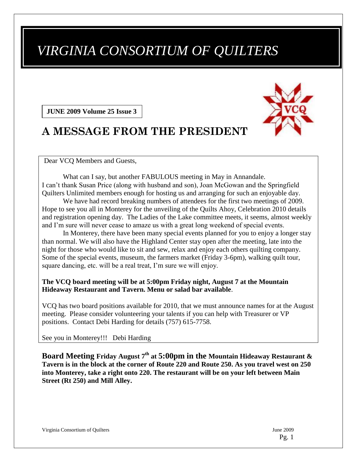# *VIRGINIA CONSORTIUM OF QUILTERS*

**JUNE 2009 Volume 25 Issue 3**

# **A MESSAGE FROM THE PRESIDENT**

Dear VCQ Members and Guests,

What can I say, but another FABULOUS meeting in May in Annandale. I can't thank Susan Price (along with husband and son), Joan McGowan and the Springfield Quilters Unlimited members enough for hosting us and arranging for such an enjoyable day.

We have had record breaking numbers of attendees for the first two meetings of 2009. Hope to see you all in Monterey for the unveiling of the Quilts Ahoy, Celebration 2010 details and registration opening day. The Ladies of the Lake committee meets, it seems, almost weekly and I'm sure will never cease to amaze us with a great long weekend of special events.

In Monterey, there have been many special events planned for you to enjoy a longer stay than normal. We will also have the Highland Center stay open after the meeting, late into the night for those who would like to sit and sew, relax and enjoy each others quilting company. Some of the special events, museum, the farmers market (Friday 3-6pm), walking quilt tour, square dancing, etc. will be a real treat, I'm sure we will enjoy.

#### **The VCQ board meeting will be at 5:00pm Friday night, August 7 at the Mountain Hideaway Restaurant and Tavern. Menu or salad bar available**.

VCQ has two board positions available for 2010, that we must announce names for at the August meeting. Please consider volunteering your talents if you can help with Treasurer or VP positions. Contact Debi Harding for details (757) 615-7758.

See you in Monterey!!! Debi Harding

**Board Meeting Friday August 7th at 5:00pm in the Mountain Hideaway Restaurant & Tavern is in the block at the corner of Route 220 and Route 250. As you travel west on 250 into Monterey, take a right onto 220. The restaurant will be on your left between Main Street (Rt 250) and Mill Alley.**

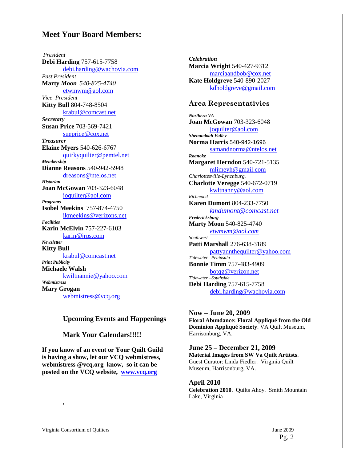#### **Meet Your Board Members:**

*President* **Debi Harding** 757-615-7758 [debi.harding@wachovia.com](mailto:debi.harding@wachovia.com) *Past President* **Marty** *Moon 540-825-4740* [etwmwm@aol.com](mailto:etwmwm@aol.com) *Vice President* **Kitty Bull** 804-748-8504 [krabul@comcast.net](mailto:krabul@comcast.net) *Secretary* **Susan Price** 703-569-7421 [sueprice@cox.net](mailto:sueprice@cox.net) *Treasurer* **Elaine Myers** 540-626-6767 [quirkyquilter@pemtel.net](mailto:quirkyquilter@pemtel.net) *Membership* **Dianne Reasons** 540-942-5948 [dreasons@ntelos.net](mailto:dreasons@ntelos.net) *Historian* **Joan McGowan** 703-323-6048 [joquilter@aol.com](mailto:joquilter@aol.com) *Programs* **Isobel Meekins** 757-874-4750 [ikmeekins@verizons.net](mailto:ikmeekins@verizons.net) *Facilities* **Karin McElvin** 757-227-6103 [karin@jrps.com](mailto:karin@jrps.com) *Newsletter* **Kitty Bull** [krabul@comcast.net](mailto:krabul@comcast.net) *Print Publicity* **Michaele Walsh** [kwiltnannie@yahoo.com](mailto:kwiltnannie@yahoo.com) *Webmistress* **Mary Grogan** [webmistress@vcq.org](mailto:webmistress@vcq.org)

#### **Upcoming Events and Happenings**

**Mark Your Calendars!!!!!**

**If you know of an event or Your Quilt Guild is having a show, let our VCQ webmistress, webmistress @vcq.org know, so it can be posted on the VCQ website, [www.vcq.org](http://www.vcq.org/)**

*Celebration* **Marcia Wright** 540-427-9312 [marciaandbob@cox.net](mailto:marciaandbob@cox.net) **Kate Holdgreve** 540-890-2027 [kdholdgreve@gmail.com](mailto:kdholdgreve@gmail.com)

#### **Area Representativies**

*Northern VA* **Joan McGowan** 703-323-6048 [joquilter@aol.com](mailto:joquilter@aol.com) *Shenandoah Valley* **Norma Harris** 540-942-1696 [samandnorma@ntelos.net](mailto:samandnorma@ntelos.net) *Roanoke* **Margaret Herndon** 540-721-5135 [mlimeyh@gmail.com](mailto:mlimeyh@gmail.com) *Charlottesville-Lynchburg.* **Charlotte Veregge** 540-672-0719 [kwltnanny@aol.com](mailto:kwltnanny@aol.com) *Richmond* **Karen Dumont** 804-233-7750 *[kmdumont@comcast.net](mailto:kmdumont@comcast.net) Fredericksburg* **Marty Moon** 540-825-4740 *[etwmwm@aol.com](mailto:etwmwm@aol.com) Southwest* **Patti Marshal**l 276-638-3189 [pattyannthequilter@yahoo.com](mailto:pattyannthequilter@yahoo.com) *Tidewater –Peninsula* **Bonnie Timm** 757-483-4909 [botqg@verizon.net](mailto:botqg@verizon.net) *Tidewater –Southside* **Debi Harding** 757-615-7758 [debi.harding@wachovia.com](mailto:debi.harding@wachovia.com)

**Now – June 20, 2009 Floral Abundance: Floral Appliqué from the Old Dominion Appliqué Society**. VA Quilt Museum, Harrisonburg, VA.

**June 25 – December 21, 2009 Material Images from SW Va Quilt Artitsts**. Guest Curator: Linda Fiedler. Virginia Quilt Museum, Harrisonburg, VA.

**April 2010 Celebration 2010**. Quilts Ahoy. Smith Mountain Lake, Virginia

,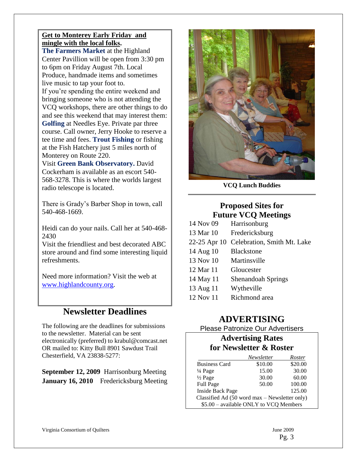#### **Get to Monterey Early Friday and mingle with the local folks.**

**The Farmers Market** at the Highland Center Pavillion will be open from 3:30 pm to 6pm on Friday August 7th. Local Produce, handmade items and sometimes live music to tap your foot to. If you're spending the entire weekend and bringing someone who is not attending the VCQ workshops, there are other things to do and see this weekend that may interest them: **Golfing** at Needles Eye. Private par three course. Call owner, Jerry Hooke to reserve a tee time and fees. **Trout Fishing** or fishing at the Fish Hatchery just 5 miles north of Monterey on Route 220.

Visit **Green Bank Observatory.** David Cockerham is available as an escort 540- 568-3278. This is where the worlds largest radio telescope is located.

There is Grady's Barber Shop in town, call 540-468-1669.

Heidi can do your nails. Call her at 540-468- 2430

Visit the friendliest and best decorated ABC store around and find some interesting liquid refreshments.

Need more information? Visit the web at [www.highlandcounty.org.](http://www.highlandcounty.org/)

# **Newsletter Deadlines**

The following are the deadlines for submissions to the newsletter. Material can be sent electronically (preferred) to krabul@comcast.net OR mailed to: Kitty Bull 8901 Sawdust Trail Chesterfield, VA 23838-5277:

**September 12, 2009** Harrisonburg Meeting **January 16, 2010** Fredericksburg Meeting



**VCQ Lunch Buddies**

### **Proposed Sites for Future VCQ Meetings**

| 14 Nov 09    | Harrisonburg                |
|--------------|-----------------------------|
| 13 Mar 10    | Fredericksburg              |
| 22-25 Apr 10 | Celebration, Smith Mt. Lake |
| 14 Aug 10    | <b>Blackstone</b>           |
| 13 Nov 10    | Martinsville                |
| 12 Mar 11    | Gloucester                  |
| 14 May 11    | <b>Shenandoah Springs</b>   |
| 13 Aug 11    | Wytheville                  |
| 12 Nov 11    | Richmond area               |

# **ADVERTISING**

# Please Patronize Our Advertisers

#### **Advertising Rates for Newsletter & Roster**

|                                               | Newsletter | Roster  |
|-----------------------------------------------|------------|---------|
| <b>Business Card</b>                          | \$10.00    | \$20.00 |
| 1/4 Page                                      | 15.00      | 30.00   |
| $\frac{1}{2}$ Page                            | 30.00      | 60.00   |
| <b>Full Page</b>                              | 50.00      | 100.00  |
| <b>Inside Back Page</b>                       |            | 125.00  |
| Classified Ad (50 word max - Newsletter only) |            |         |
| \$5.00 - available ONLY to VCQ Members        |            |         |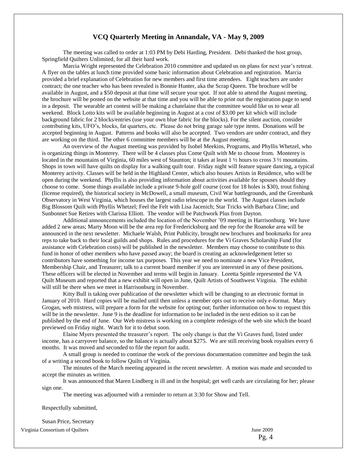#### **VCQ Quarterly Meeting in Annandale, VA - May 9, 2009**

The meeting was called to order at 1:03 PM by Debi Harding, President. Debi thanked the host group, Springfield Quilters Unlimited, for all their hard work.

Marcia Wright represented the Celebration 2010 committee and updated us on plans for next year's retreat. A flyer on the tables at lunch time provided some basic information about Celebration and registration. Marcia provided a brief explanation of Celebration for new members and first time attendees. Eight teachers are under contract; the one teacher who has been revealed is Bonnie Hunter, aka the Scrap Queen. The brochure will be available in August, and a \$50 deposit at that time will secure your spot. If not able to attend the August meeting, the brochure will be posted on the website at that time and you will be able to print out the registration page to send in a deposit. The wearable art contest will be making a chatelaine that the committee would like us to wear all weekend. Block Lotto kits will be available beginning in August at a cost of \$3.00 per kit which will include background fabric for 2 blocks/entries (use your own blue fabric for the blocks). For the silent auction, consider contributing kits, UFO's, blocks, fat quarters, etc. Please do not bring garage sale type items. Donations will be accepted beginning in August. Patterns and books will also be accepted. Two vendors are under contract, and they are working on the third. The other 6 committee members will be at the August meeting.

An overview of the August meeting was provided by Isobel Meekins, Programs, and Phyllis Whetzel, who is organizing things in Monterey. There will be 4 classes plus Come Quilt with Me to choose from. Monterey is located in the mountains of Virginia, 60 miles west of Staunton; it takes at least 1 ½ hours to cross 3 ½ mountains. Shops in town will have quilts on display for a walking quilt tour. Friday night will feature square dancing, a typical Monterey activity. Classes will be held in the Highland Center, which also houses Artists in Residence, who will be open during the weekend. Phyllis is also providing information about activities available for spouses should they choose to come. Some things available include a private 9-hole golf course (cost for 18 holes is \$30), trout fishing (license required), the historical society in McDowell, a small museum, Civil War battlegrounds, and the Greenbank Observatory in West Virginia, which houses the largest radio telescope in the world. The August classes include Big Blossom Quilt with Phyllis Whetzel; Feel the Felt with Lisa Jacenich; Star Tricks with Barbara Cline; and Sunbonnet Sue Retires with Clarissa Elliott. The vendor will be Patchwork Plus from Dayton.

Additional announcements included the location of the November '09 meeting in Harrisonburg. We have added 2 new areas; Marty Moon will be the area rep for Fredericksburg and the rep for the Roanoke area will be announced in the next newsletter. Michaele Walsh, Print Publicity, brought new brochures and bookmarks for area reps to take back to their local guilds and shops. Rules and procedures for the Vi Graves Scholarship Fund (for assistance with Celebration costs) will be published in the newsletter. Members may choose to contribute to this fund in honor of other members who have passed away; the board is creating an acknowledgement letter so contributors have something for income tax purposes. This year we need to nominate a new Vice President, Membership Chair, and Treasurer; talk to a current board member if you are interested in any of these positions. These officers will be elected in November and terms will begin in January. Loretta Spittle represented the VA Quilt Museum and reported that a new exhibit will open in June, Quilt Artists of Southwest Virginia. The exhibit will still be there when we meet in Harrisonburg in November.

Kitty Bull is taking over publication of the newsletter which will be changing to an electronic format in January of 2010. Hard copies will be mailed until then unless a member opts out to receive only e-format. Mary Grogan, web mistress, will prepare a form for the website for opting out; further information on how to request this will be in the newsletter. June 9 is the deadline for information to be included in the next edition so it can be published by the end of June. Our Web mistress is working on a complete redesign of the web site which the board previewed on Friday night. Watch for it to debut soon.

Elaine Myers presented the treasurer's report. The only change is that the Vi Graves fund, listed under income, has a carryover balance, so the balance is actually about \$275. We are still receiving book royalties every 6 months. It was moved and seconded to file the report for audit.

A small group is needed to continue the work of the previous documentation committee and begin the task of a writing a second book to follow Quilts of Virginia.

The minutes of the March meeting appeared in the recent newsletter. A motion was made and seconded to accept the minutes as written.

It was announced that Maren Lindberg is ill and in the hospital; get well cards are circulating for her; please sign one.

The meeting was adjourned with a reminder to return at 3:30 for Show and Tell.

Respectfully submitted,

Susan Price, Secretary

Virginia Consortium of Quilters June 2009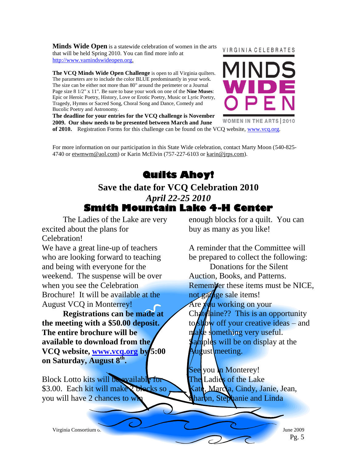**Minds Wide Open** is a statewide celebration of women in the arts that will be held Spring 2010. You can find more info at [http://www.vamindswideopen.org.](http://www.vamindswideopen.org/)

**The VCQ Minds Wide Open Challenge** is open to all Virginia quilters. The parameters are to include the color BLUE predominantly in your work. The size can be either not more than 80" around the perimeter or a Journal Page size 8 1/2" x 11". Be sure to base your work on one of the **Nine Muses**: Epic or Heroic Poetry, History, Love or Erotic Poetry, Music or Lyric Poetry, Tragedy, Hymns or Sacred Song, Choral Song and Dance, Comedy and Bucolic Poetry and Astronomy.

**The deadline for your entries for the VCQ challenge is November 2009. Our show needs to be presented between March and June of 2010.** Registration Forms for this challenge can be found on the VCQ website, [www.vcq.org](http://www.vcq.org/).

#### VIRGINIA CELEBRATES



For more information on our participation in this State Wide celebration, contact Marty Moon (540-825- 4740 or etwmwm@aol.com) or Karin McElvin (757-227-6103 or karin@jrps.com).

# **Quilts Ahoy!**

# **Save the date for VCQ Celebration 2010** *April 22-25 2010* **Smith Mountain Lake 4-H Center**

The Ladies of the Lake are very excited about the plans for Celebration!

We have a great line-up of teachers who are looking forward to teaching and being with everyone for the weekend. The suspense will be over when you see the Celebration Brochure! It will be available at the August VCQ in Monterrey!

**Registrations can be made at the meeting with a \$50.00 deposit. The entire brochure will be available to download from the VCQ website, [www.vcq.org](http://www.vcq.org/) by 5:00 on Saturday, August 8th .**

Block Lotto kits will be available for \$3.00. Each kit will make 2 blocks so you will have 2 chances to w

enough blocks for a quilt. You can buy as many as you like!

A reminder that the Committee will be prepared to collect the following:

Donations for the Silent Auction, Books, and Patterns. Remember these items must be NICE, not garage sale items! Are  $y\ddot{q}$ u working on your Chatellaine?? This is an opportunity to st $\phi$  w off your creative ideas – and  $a$ ke something very useful. and play will be on display at the ugust meeting.

See you **in** Monterey! The Ladies of the Lake Marcia, Cindy, Janie, Jean, haron, Stephanie and Linda

Virginia Consortium of Quilters June 2009

Pg. 5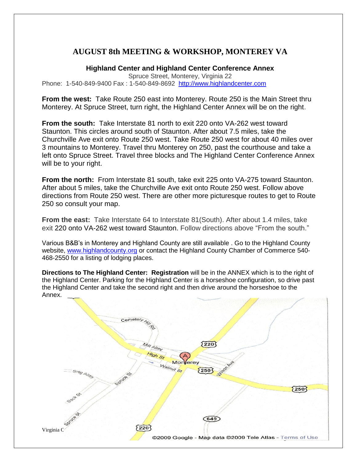### **AUGUST 8th MEETING & WORKSHOP, MONTEREY VA**

**Highland Center and Highland Center Conference Annex**

Spruce Street, Monterey, Virginia 22 Phone: 1-540-849-9400 Fax: 1-540-849-8692 [http://www.highlandcenter.com](http://www.highlandcenter.com/)

**From the west:** Take Route 250 east into Monterey. Route 250 is the Main Street thru Monterey. At Spruce Street, turn right, the Highland Center Annex will be on the right.

**From the south:** Take Interstate 81 north to exit 220 onto VA-262 west toward Staunton. This circles around south of Staunton. After about 7.5 miles, take the Churchville Ave exit onto Route 250 west. Take Route 250 west for about 40 miles over 3 mountains to Monterey. Travel thru Monterey on 250, past the courthouse and take a left onto Spruce Street. Travel three blocks and The Highland Center Conference Annex will be to your right.

**From the north:** From Interstate 81 south, take exit 225 onto VA-275 toward Staunton. After about 5 miles, take the Churchville Ave exit onto Route 250 west. Follow above directions from Route 250 west. There are other more picturesque routes to get to Route 250 so consult your map.

**From the east:** Take Interstate 64 to Interstate 81(South). After about 1.4 miles, take exit 220 onto VA-262 west toward Staunton. Follow directions above "From the south."

Various B&B's in Monterey and Highland County are still available . Go to the Highland County website, [www.highlandcounty.org](http://www.highlandcounty.org/) or contact the Highland County Chamber of Commerce 540- 468-2550 for a listing of lodging places.

**Directions to The Highland Center: Registration** will be in the ANNEX which is to the right of the Highland Center. Parking for the Highland Center is a horseshoe configuration, so drive past the Highland Center and take the second right and then drive around the horseshoe to the Annex.

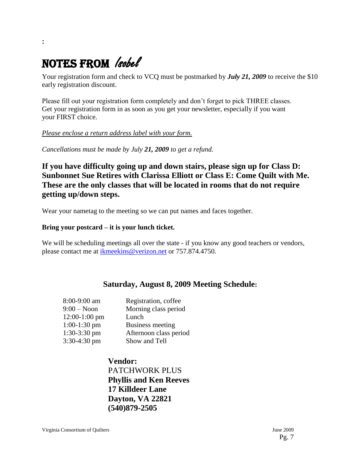# NOTES FROM leobel

Your registration form and check to VCQ must be postmarked by *July 21, 2009* to receive the \$10 early registration discount.

Please fill out your registration form completely and don't forget to pick THREE classes. Get your registration form in as soon as you get your newsletter, especially if you want your FIRST choice.

#### *Please enclose a return address label with your form.*

*Cancellations must be made by July 21, 2009 to get a refund.*

**If you have difficulty going up and down stairs, please sign up for Class D: Sunbonnet Sue Retires with Clarissa Elliott or Class E: Come Quilt with Me. These are the only classes that will be located in rooms that do not require getting up/down steps.**

Wear your nametag to the meeting so we can put names and faces together.

#### **Bring your postcard – it is your lunch ticket.**

We will be scheduling meetings all over the state - if you know any good teachers or vendors, please contact me at [ikmeekins@verizon.net](mailto:ikmeekins@verizon.net) or 757.874.4750.

#### **Saturday, August 8, 2009 Meeting Schedule:**

| 8:00-9:00 am    | Registration, coffee   |
|-----------------|------------------------|
| $9:00 - N$ oon  | Morning class period   |
| $12:00-1:00$ pm | Lunch                  |
| $1:00-1:30$ pm  | Business meeting       |
| $1:30-3:30$ pm  | Afternoon class period |
| 3:30-4:30 pm    | Show and Tell          |

**Vendor:** PATCHWORK PLUS **Phyllis and Ken Reeves 17 Killdeer Lane Dayton, VA 22821 (540)879-2505**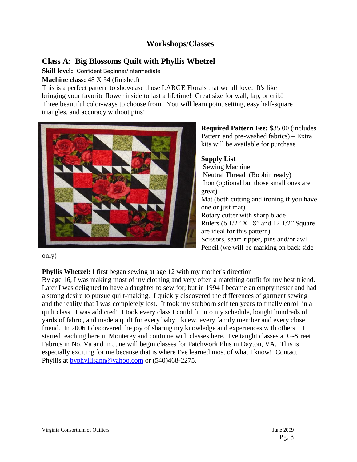### **Workshops/Classes**

## **Class A: Big Blossoms Quilt with Phyllis Whetzel**

**Skill level:** Confident Beginner/Intermediate

**Machine class:** 48 X 54 (finished)

This is a perfect pattern to showcase those LARGE Florals that we all love. It's like bringing your favorite flower inside to last a lifetime! Great size for wall, lap, or crib! Three beautiful color-ways to choose from. You will learn point setting, easy half-square triangles, and accuracy without pins!



**Required Pattern Fee:** \$35.00 (includes Pattern and pre-washed fabrics) – Extra kits will be available for purchase

#### **Supply List**

Sewing Machine Neutral Thread (Bobbin ready) Iron (optional but those small ones are great) Mat (both cutting and ironing if you have one or just mat) Rotary cutter with sharp blade Rulers (6 1/2" X 18" and 12 1/2" Square are ideal for this pattern) Scissors, seam ripper, pins and/or awl Pencil (we will be marking on back side

only)

**Phyllis Whetzel:** I first began sewing at age 12 with my mother's direction

By age 16, I was making most of my clothing and very often a matching outfit for my best friend. Later I was delighted to have a daughter to sew for; but in 1994 I became an empty nester and had a strong desire to pursue quilt-making. I quickly discovered the differences of garment sewing and the reality that I was completely lost. It took my stubborn self ten years to finally enroll in a quilt class. I was addicted! I took every class I could fit into my schedule, bought hundreds of yards of fabric, and made a quilt for every baby I knew, every family member and every close friend. In 2006 I discovered the joy of sharing my knowledge and experiences with others. I started teaching here in Monterey and continue with classes here. I've taught classes at G-Street Fabrics in No. Va and in June will begin classes for Patchwork Plus in Dayton, VA. This is especially exciting for me because that is where I've learned most of what I know! Contact Phyllis at [byphyllisann@yahoo.com](mailto:byphyllisann@yahoo.com) or (540)468-2275.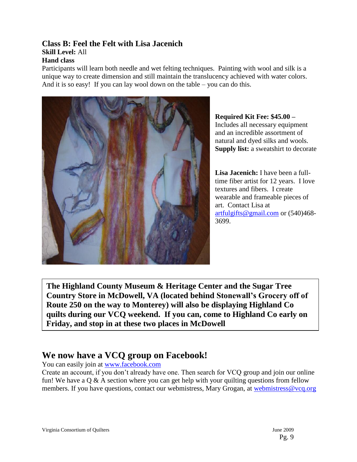## **Class B: Feel the Felt with Lisa Jacenich**

## **Skill Level:** All

#### **Hand class**

Participants will learn both needle and wet felting techniques. Painting with wool and silk is a unique way to create dimension and still maintain the translucency achieved with water colors. And it is so easy! If you can lay wool down on the table – you can do this.



**Required Kit Fee: \$45.00 –** Includes all necessary equipment and an incredible assortment of natural and dyed silks and wools. **Supply list:** a sweatshirt to decorate

**Lisa Jacenich:** I have been a fulltime fiber artist for 12 years. I love textures and fibers. I create wearable and frameable pieces of art. Contact Lisa at [artfulgifts@gmail.com](mailto:artfulgifts@gmail.com) or (540)468- 3699.

**The Highland County Museum & Heritage Center and the Sugar Tree Country Store in McDowell, VA (located behind Stonewall's Grocery off of Route 250 on the way to Monterey) will also be displaying Highland Co quilts during our VCQ weekend. If you can, come to Highland Co early on Friday, and stop in at these two places in McDowell**

# **We now have a VCQ group on Facebook!**

You can easily join at [www.facebook.com](http://www.facebook.com/)

Create an account, if you don't already have one. Then search for VCQ group and join our online fun! We have a  $\overline{Q}$  & A section where you can get help with your quilting questions from fellow members. If you have questions, contact our webmistress, Mary Grogan, at [webmistress@vcq.org](mailto:webmistress@vcq.org)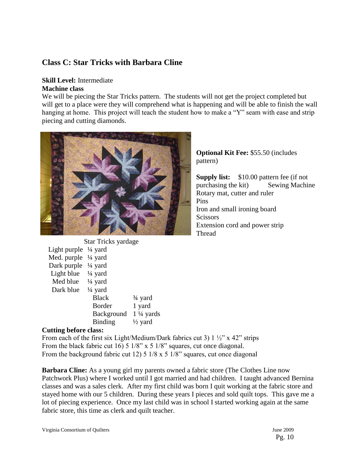### **Class C: Star Tricks with Barbara Cline**

#### **Skill Level:** Intermediate **Machine class**

We will be piecing the Star Tricks pattern. The students will not get the project completed but will get to a place were they will comprehend what is happening and will be able to finish the wall hanging at home. This project will teach the student how to make a "Y" seam with ease and strip piecing and cutting diamonds.



**Optional Kit Fee:** \$55.50 (includes pattern)

**Supply list:** \$10.00 pattern fee (if not purchasing the kit) Sewing Machine Rotary mat, cutter and ruler Pins Iron and small ironing board **Scissors** Extension cord and power strip Thread

|                                 | <b>Star Tricks yardage</b> |                      |
|---------------------------------|----------------------------|----------------------|
| Light purple $\frac{1}{4}$ yard |                            |                      |
| Med. purple $\frac{1}{4}$ yard  |                            |                      |
| Dark purple $\frac{1}{4}$ yard  |                            |                      |
| Light blue                      | $\frac{1}{4}$ yard         |                      |
| Med blue $\frac{1}{4}$ yard     |                            |                      |
| Dark blue                       | $\frac{1}{4}$ yard         |                      |
|                                 | <b>Black</b>               | $\frac{3}{4}$ yard   |
|                                 | Border                     | 1 yard               |
|                                 | Background                 | $1\frac{1}{4}$ yards |
|                                 | <b>Binding</b>             | $\frac{1}{2}$ yard   |

#### **Cutting before class:**

From each of the first six Light/Medium/Dark fabrics cut 3)  $1\frac{1}{2}$  x 42" strips From the black fabric cut 16) 5 1/8" x 5 1/8" squares, cut once diagonal. From the background fabric cut 12) 5 1/8 x 5 1/8" squares, cut once diagonal

**Barbara Cline:** As a young girl my parents owned a fabric store (The Clothes Line now Patchwork Plus) where I worked until I got married and had children. I taught advanced Bernina classes and was a sales clerk. After my first child was born I quit working at the fabric store and stayed home with our 5 children. During these years I pieces and sold quilt tops. This gave me a lot of piecing experience. Once my last child was in school I started working again at the same fabric store, this time as clerk and quilt teacher.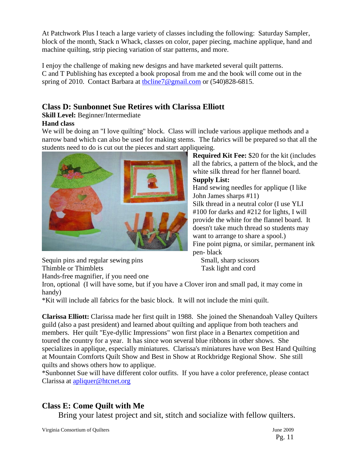At Patchwork Plus I teach a large variety of classes including the following: Saturday Sampler, block of the month, Stack n Whack, classes on color, paper piecing, machine applique, hand and machine quilting, strip piecing variation of star patterns, and more.

I enjoy the challenge of making new designs and have marketed several quilt patterns. C and T Publishing has excepted a book proposal from me and the book will come out in the spring of 2010. Contact Barbara at [tbcline7@gmail.com](mailto:tbcline7@gmail.com) or (540)828-6815.

# **Class D: Sunbonnet Sue Retires with Clarissa Elliott**

**Skill Level:** Beginner/Intermediate **Hand class**

We will be doing an "I love quilting" block. Class will include various applique methods and a narrow band which can also be used for making stems. The fabrics will be prepared so that all the students need to do is cut out the pieces and start appliqueing.



Sequin pins and regular sewing pins Small, sharp scissors Thimble or Thimblets Task light and cord

**Required Kit Fee:** \$20 for the kit (includes all the fabrics, a pattern of the block, and the white silk thread for her flannel board. **Supply List:**

Hand sewing needles for applique (I like John James sharps #11) Silk thread in a neutral color (I use YLI #100 for darks and #212 for lights, I will provide the white for the flannel board. It doesn't take much thread so students may want to arrange to share a spool.) Fine point pigma, or similar, permanent ink pen- black

Hands-free magnifier, if you need one

Iron, optional (I will have some, but if you have a Clover iron and small pad, it may come in handy)

\*Kit will include all fabrics for the basic block. It will not include the mini quilt.

**Clarissa Elliott:** Clarissa made her first quilt in 1988. She joined the Shenandoah Valley Quilters guild (also a past president) and learned about quilting and applique from both teachers and members. Her quilt "Eye-dyllic Impressions" won first place in a Benartex competition and toured the country for a year. It has since won several blue ribbons in other shows. She specializes in applique, especially miniatures. Clarissa's miniatures have won Best Hand Quilting at Mountain Comforts Quilt Show and Best in Show at Rockbridge Regional Show. She still quilts and shows others how to applique.

\*Sunbonnet Sue will have different color outfits. If you have a color preference, please contact Clarissa at [apliquer@htcnet.org](mailto:apliquer@htcnet.org)

## **Class E: Come Quilt with Me**

Bring your latest project and sit, stitch and socialize with fellow quilters.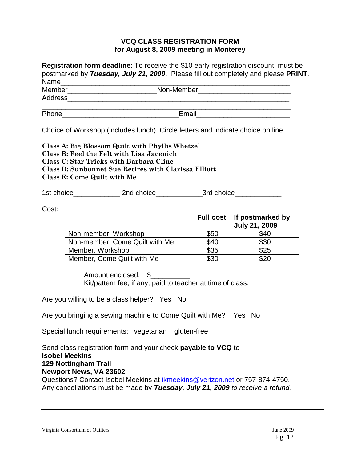#### **VCQ CLASS REGISTRATION FORM for August 8, 2009 meeting in Monterey**

**Registration form deadline**: To receive the \$10 early registration discount, must be postmarked by *Tuesday, July 21, 2009*. Please fill out completely and please **PRINT**. Name\_\_\_\_\_\_\_\_\_\_\_\_\_\_\_\_\_\_\_\_\_\_\_\_\_\_\_\_\_\_\_\_\_\_\_\_\_\_\_\_\_\_\_\_\_\_\_\_\_\_\_\_\_\_\_\_\_\_\_

| Member  | Non-Member |  |
|---------|------------|--|
| Address |            |  |
| Phone   | Email      |  |

Choice of Workshop (includes lunch). Circle letters and indicate choice on line.

**Class A: Big Blossom Quilt with Phyllis Whetzel Class B: Feel the Felt with Lisa Jacenich Class C: Star Tricks with Barbara Cline Class D: Sunbonnet Sue Retires with Clarissa Elliott Class E: Come Quilt with Me**

1st choice and choice and choice and choice and  $3$ rd choice

Cost:

|                                |      | Full cost   If postmarked by<br><b>July 21, 2009</b> |
|--------------------------------|------|------------------------------------------------------|
| Non-member, Workshop           | \$50 | \$40                                                 |
| Non-member, Come Quilt with Me | \$40 | \$30                                                 |
| Member, Workshop               | \$35 | \$25                                                 |
| Member, Come Quilt with Me     | \$30 | \$20                                                 |

Amount enclosed: \$ Kit/pattern fee, if any, paid to teacher at time of class.

Are you willing to be a class helper? Yes No

Are you bringing a sewing machine to Come Quilt with Me? Yes No

Special lunch requirements: vegetarian gluten-free

Send class registration form and your check **payable to VCQ** to **Isobel Meekins 129 Nottingham Trail Newport News, VA 23602** Questions? Contact Isobel Meekins at [ikmeekins@verizon.net](mailto:ikmeekins@verizon.net) or 757-874-4750.

Any cancellations must be made by *Tuesday, July 21, 2009 to receive a refund.*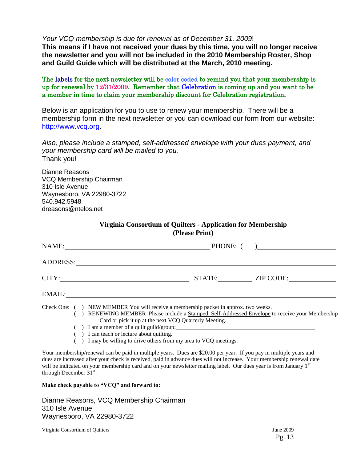*Your VCQ membership is due for renewal as of December 31, 2009*!

**This means if I have not received your dues by this time, you will no longer receive the newsletter and you will not be included in the 2010 Membership Roster, Shop and Guild Guide which will be distributed at the March, 2010 meeting.**

The labels for the next newsletter will be color coded to remind you that your membership is up for renewal by 12/31/2009. Remember that Celebration is coming up and you want to be a member in time to claim your membership discount for Celebration registration.

Below is an application for you to use to renew your membership. There will be a membership form in the next newsletter or you can download our form from our website: [http://www.vcq.org.](http://www.vcq.org/)

*Also, please include a stamped, self-addressed envelope with your dues payment, and your membership card will be mailed to you.*  Thank you!

Dianne Reasons VCQ Membership Chairman 310 Isle Avenue Waynesboro, VA 22980-3722 540.942.5948 dreasons@ntelos.net

| Virginia Consortium of Quilters - Application for Membership<br>(Please Print) |  |                                                                                                                                                                                                                                                                                                                                          |                  |
|--------------------------------------------------------------------------------|--|------------------------------------------------------------------------------------------------------------------------------------------------------------------------------------------------------------------------------------------------------------------------------------------------------------------------------------------|------------------|
|                                                                                |  | NAME: PHONE: ()                                                                                                                                                                                                                                                                                                                          |                  |
|                                                                                |  | ADDRESS: And All Andrew Management and All Andrew Management and All Andrew Management and All Andrew Management and                                                                                                                                                                                                                     |                  |
|                                                                                |  | CITY:                                                                                                                                                                                                                                                                                                                                    | STATE: ZIP CODE: |
|                                                                                |  | EMAIL:                                                                                                                                                                                                                                                                                                                                   |                  |
|                                                                                |  | Check One: () NEW MEMBER You will receive a membership packet in approx. two weeks.<br>RENEWING MEMBER Please include a Stamped, Self-Addressed Envelope to receive your Membership<br>Card or pick it up at the next VCQ Quarterly Meeting.<br>$($ ) I am a member of a quilt guild/group:<br>() I can teach or lecture about quilting. |                  |

( ) I may be willing to drive others from my area to VCQ meetings.

Your membership/renewal can be paid in multiple years. Dues are \$20.00 per year. If you pay in multiple years and dues are increased after your check is received, paid in advance dues will not increase. Your membership renewal date will be indicated on your membership card and on your newsletter mailing label. Our dues year is from January 1st through December  $31^{st}$ .

**Make check payable to "VCQ" and forward to:**

Dianne Reasons, VCQ Membership Chairman 310 Isle Avenue Waynesboro, VA 22980-3722